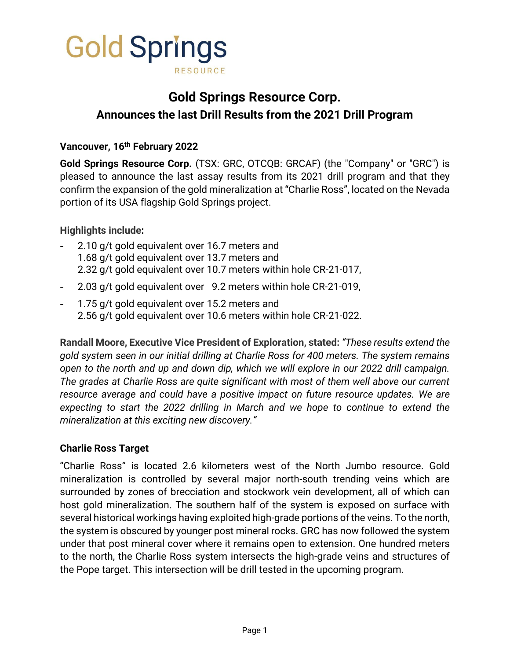

### **Gold Springs Resource Corp. Announces the last Drill Results from the 2021 Drill Program**

### **Vancouver, 16 th February 2022**

**Gold Springs Resource Corp.** (TSX: GRC, OTCQB: GRCAF) (the "Company" or "GRC") is pleased to announce the last assay results from its 2021 drill program and that they confirm the expansion of the gold mineralization at "Charlie Ross", located on the Nevada portion of its USA flagship Gold Springs project.

**Highlights include:**

- 2.10 g/t gold equivalent over 16.7 meters and 1.68 g/t gold equivalent over 13.7 meters and 2.32 g/t gold equivalent over 10.7 meters within hole CR-21-017,
- 2.03 g/t gold equivalent over 9.2 meters within hole CR-21-019,
- 1.75 g/t gold equivalent over 15.2 meters and 2.56 g/t gold equivalent over 10.6 meters within hole CR-21-022.

**Randall Moore, Executive Vice President of Exploration, stated:** *"These results extend the gold system seen in our initial drilling at Charlie Ross for 400 meters. The system remains open to the north and up and down dip, which we will explore in our 2022 drill campaign. The grades at Charlie Ross are quite significant with most of them well above our current resource average and could have a positive impact on future resource updates. We are expecting to start the 2022 drilling in March and we hope to continue to extend the mineralization at this exciting new discovery."*

### **Charlie Ross Target**

"Charlie Ross" is located 2.6 kilometers west of the North Jumbo resource. Gold mineralization is controlled by several major north-south trending veins which are surrounded by zones of brecciation and stockwork vein development, all of which can host gold mineralization. The southern half of the system is exposed on surface with several historical workings having exploited high-grade portions of the veins. To the north, the system is obscured by younger post mineral rocks. GRC has now followed the system under that post mineral cover where it remains open to extension. One hundred meters to the north, the Charlie Ross system intersects the high-grade veins and structures of the Pope target. This intersection will be drill tested in the upcoming program.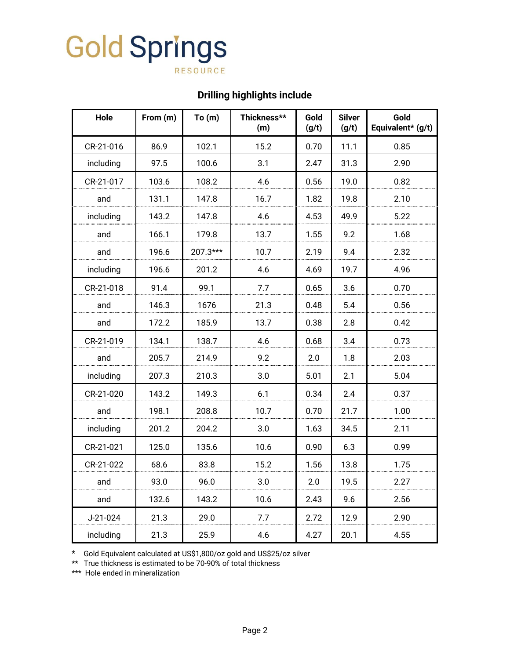### **Drilling highlights include**

| Hole       | From (m) | To(m)    | Thickness**<br>(m) | Gold<br>(g/t) | <b>Silver</b><br>(g/t) | Gold<br>Equivalent* (g/t) |
|------------|----------|----------|--------------------|---------------|------------------------|---------------------------|
| CR-21-016  | 86.9     | 102.1    | 15.2               | 0.70          | 11.1                   | 0.85                      |
| including  | 97.5     | 100.6    | 3.1                | 2.47          | 31.3                   | 2.90                      |
| CR-21-017  | 103.6    | 108.2    | 4.6                | 0.56          | 19.0                   | 0.82                      |
| and        | 131.1    | 147.8    | 16.7               | 1.82          | 19.8                   | 2.10                      |
| including  | 143.2    | 147.8    | 4.6                | 4.53          | 49.9                   | 5.22                      |
| and        | 166.1    | 179.8    | 13.7               | 1.55          | 9.2                    | 1.68                      |
| and        | 196.6    | 207.3*** | 10.7               | 2.19          | 9.4                    | 2.32                      |
| including  | 196.6    | 201.2    | 4.6                | 4.69          | 19.7                   | 4.96                      |
| CR-21-018  | 91.4     | 99.1     | 7.7                | 0.65          | 3.6                    | 0.70                      |
| and        | 146.3    | 1676     | 21.3               | 0.48          | 5.4                    | 0.56                      |
| and        | 172.2    | 185.9    | 13.7               | 0.38          | 2.8                    | 0.42                      |
| CR-21-019  | 134.1    | 138.7    | 4.6                | 0.68          | 3.4                    | 0.73                      |
| and        | 205.7    | 214.9    | 9.2                | 2.0           | 1.8                    | 2.03                      |
| including  | 207.3    | 210.3    | 3.0                | 5.01          | 2.1                    | 5.04                      |
| CR-21-020  | 143.2    | 149.3    | 6.1                | 0.34          | 2.4                    | 0.37                      |
| and        | 198.1    | 208.8    | 10.7               | 0.70          | 21.7                   | 1.00                      |
| including  | 201.2    | 204.2    | 3.0                | 1.63          | 34.5                   | 2.11                      |
| CR-21-021  | 125.0    | 135.6    | 10.6               | 0.90          | 6.3                    | 0.99                      |
| CR-21-022  | 68.6     | 83.8     | 15.2               | 1.56          | 13.8                   | 1.75                      |
| and        | 93.0     | 96.0     | 3.0                | 2.0           | 19.5                   | 2.27                      |
| and        | 132.6    | 143.2    | 10.6               | 2.43          | 9.6                    | 2.56                      |
| $J-21-024$ | 21.3     | 29.0     | 7.7                | 2.72          | 12.9                   | 2.90                      |
| including  | 21.3     | 25.9     | 4.6                | 4.27          | 20.1                   | 4.55                      |

\* Gold Equivalent calculated at US\$1,800/oz gold and US\$25/oz silver

\*\* True thickness is estimated to be 70-90% of total thickness

\*\*\* Hole ended in mineralization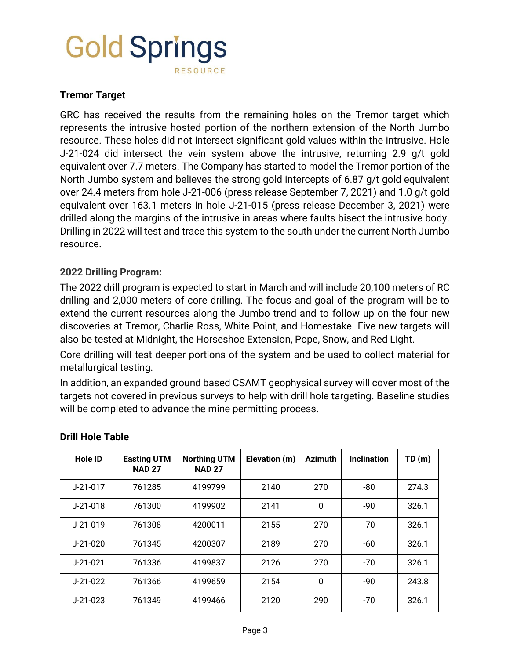### **Tremor Target**

GRC has received the results from the remaining holes on the Tremor target which represents the intrusive hosted portion of the northern extension of the North Jumbo resource. These holes did not intersect significant gold values within the intrusive. Hole J-21-024 did intersect the vein system above the intrusive, returning 2.9 g/t gold equivalent over 7.7 meters. The Company has started to model the Tremor portion of the North Jumbo system and believes the strong gold intercepts of 6.87 g/t gold equivalent over 24.4 meters from hole J-21-006 (press release September 7, 2021) and 1.0 g/t gold equivalent over 163.1 meters in hole J-21-015 (press release December 3, 2021) were drilled along the margins of the intrusive in areas where faults bisect the intrusive body. Drilling in 2022 will test and trace this system to the south under the current North Jumbo resource.

### **2022 Drilling Program:**

The 2022 drill program is expected to start in March and will include 20,100 meters of RC drilling and 2,000 meters of core drilling. The focus and goal of the program will be to extend the current resources along the Jumbo trend and to follow up on the four new discoveries at Tremor, Charlie Ross, White Point, and Homestake. Five new targets will also be tested at Midnight, the Horseshoe Extension, Pope, Snow, and Red Light.

Core drilling will test deeper portions of the system and be used to collect material for metallurgical testing.

In addition, an expanded ground based CSAMT geophysical survey will cover most of the targets not covered in previous surveys to help with drill hole targeting. Baseline studies will be completed to advance the mine permitting process.

| Hole ID        | <b>Easting UTM</b><br><b>NAD 27</b> | <b>Northing UTM</b><br><b>NAD 27</b> | Elevation (m) | <b>Azimuth</b> | <b>Inclination</b> | TD(m) |
|----------------|-------------------------------------|--------------------------------------|---------------|----------------|--------------------|-------|
| $J-21-017$     | 761285                              | 4199799                              | 2140          | 270            | -80                | 274.3 |
| $J-21-018$     | 761300                              | 4199902                              | 2141          | $\Omega$       | $-90$              | 326.1 |
| $J - 21 - 019$ | 761308                              | 4200011                              | 2155          | 270            | $-70$              | 326.1 |
| $J-21-020$     | 761345                              | 4200307                              | 2189          | 270            | -60                | 326.1 |
| $J - 21 - 021$ | 761336                              | 4199837                              | 2126          | 270            | $-70$              | 326.1 |
| $J-21-022$     | 761366                              | 4199659                              | 2154          | $\Omega$       | -90                | 243.8 |
| $J-21-023$     | 761349                              | 4199466                              | 2120          | 290            | $-70$              | 326.1 |

#### **Drill Hole Table**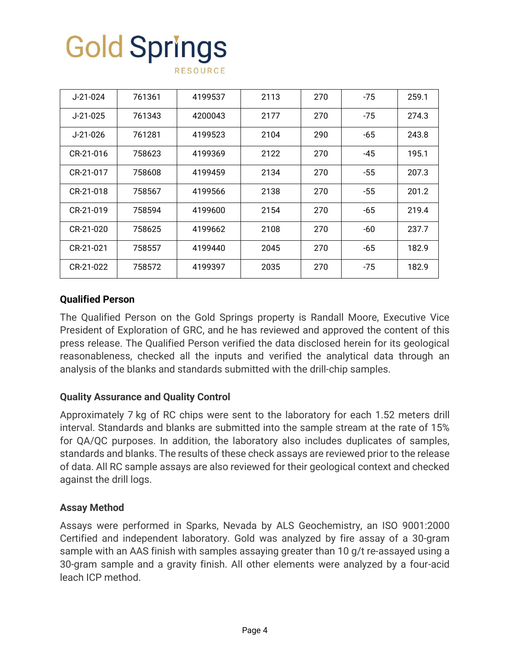| $J-21-024$ | 761361 | 4199537 | 2113 | 270 | $-75$ | 259.1 |
|------------|--------|---------|------|-----|-------|-------|
| $J-21-025$ | 761343 | 4200043 | 2177 | 270 | $-75$ | 274.3 |
| J-21-026   | 761281 | 4199523 | 2104 | 290 | -65   | 243.8 |
| CR-21-016  | 758623 | 4199369 | 2122 | 270 | -45   | 195.1 |
| CR-21-017  | 758608 | 4199459 | 2134 | 270 | $-55$ | 207.3 |
| CR-21-018  | 758567 | 4199566 | 2138 | 270 | $-55$ | 201.2 |
| CR-21-019  | 758594 | 4199600 | 2154 | 270 | -65   | 219.4 |
| CR-21-020  | 758625 | 4199662 | 2108 | 270 | $-60$ | 237.7 |
| CR-21-021  | 758557 | 4199440 | 2045 | 270 | -65   | 182.9 |
| CR-21-022  | 758572 | 4199397 | 2035 | 270 | $-75$ | 182.9 |

### **Qualified Person**

The Qualified Person on the Gold Springs property is Randall Moore, Executive Vice President of Exploration of GRC, and he has reviewed and approved the content of this press release. The Qualified Person verified the data disclosed herein for its geological reasonableness, checked all the inputs and verified the analytical data through an analysis of the blanks and standards submitted with the drill-chip samples.

### **Quality Assurance and Quality Control**

Approximately 7 kg of RC chips were sent to the laboratory for each 1.52 meters drill interval. Standards and blanks are submitted into the sample stream at the rate of 15% for QA/QC purposes. In addition, the laboratory also includes duplicates of samples, standards and blanks. The results of these check assays are reviewed prior to the release of data. All RC sample assays are also reviewed for their geological context and checked against the drill logs.

### **Assay Method**

Assays were performed in Sparks, Nevada by ALS Geochemistry, an ISO 9001:2000 Certified and independent laboratory. Gold was analyzed by fire assay of a 30-gram sample with an AAS finish with samples assaying greater than 10 g/t re-assayed using a 30-gram sample and a gravity finish. All other elements were analyzed by a four-acid leach ICP method.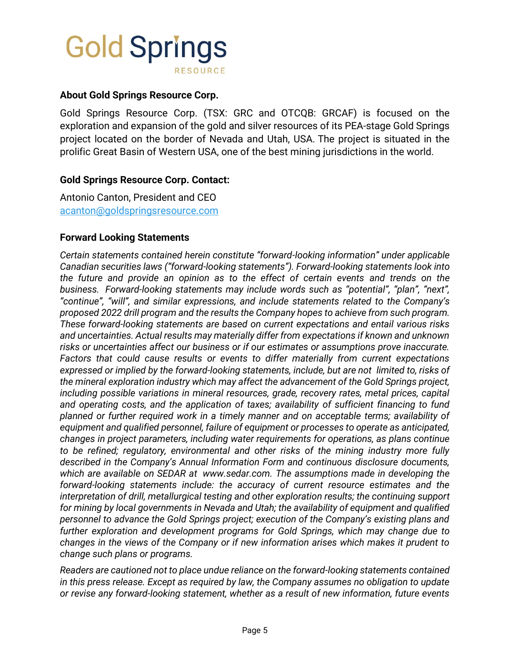### **About Gold Springs Resource Corp.**

Gold Springs Resource Corp. (TSX: GRC and OTCQB: GRCAF) is focused on the exploration and expansion of the gold and silver resources of its PEA-stage Gold Springs project located on the border of Nevada and Utah, USA. The project is situated in the prolific Great Basin of Western USA, one of the best mining jurisdictions in the world.

#### **Gold Springs Resource Corp. Contact:**

Antonio Canton, President and CEO [acanton@goldspringsresource.com](mailto:acanton@goldspringsresource.com)

#### **Forward Looking Statements**

*Certain statements contained herein constitute "forward-looking information" under applicable Canadian securities laws ("forward-looking statements"). Forward-looking statements look into the future and provide an opinion as to the effect of certain events and trends on the business. Forward-looking statements may include words such as "potential", "plan", "next",*  "continue", "will", and similar expressions, and include statements related to the Company's *proposed 2022 drill program and the results the Company hopes to achieve from such program. These forward-looking statements are based on current expectations and entail various risks and uncertainties. Actual results may materially differ from expectations if known and unknown risks or uncertainties affect our business or if our estimates or assumptions prove inaccurate. Factors that could cause results or events to differ materially from current expectations expressed or implied by the forward-looking statements, include, but are not limited to, risks of the mineral exploration industry which may affect the advancement of the Gold Springs project, including possible variations in mineral resources, grade, recovery rates, metal prices, capital and operating costs, and the application of taxes; availability of sufficient financing to fund planned or further required work in a timely manner and on acceptable terms; availability of equipment and qualified personnel, failure of equipment or processes to operate as anticipated, changes in project parameters, including water requirements for operations, as plans continue to be refined; regulatory, environmental and other risks of the mining industry more fully described in the Company's Annual Information Form and continuous disclosure documents, which are available on SEDAR at www.sedar.com. The assumptions made in developing the forward-looking statements include: the accuracy of current resource estimates and the interpretation of drill, metallurgical testing and other exploration results; the continuing support for mining by local governments in Nevada and Utah; the availability of equipment and qualified personnel to advance the Gold Springs project; execution of the Company's existing plans and further exploration and development programs for Gold Springs, which may change due to changes in the views of the Company or if new information arises which makes it prudent to change such plans or programs.*

*Readers are cautioned not to place undue reliance on the forward-looking statements contained in this press release. Except as required by law, the Company assumes no obligation to update or revise any forward-looking statement, whether as a result of new information, future events*